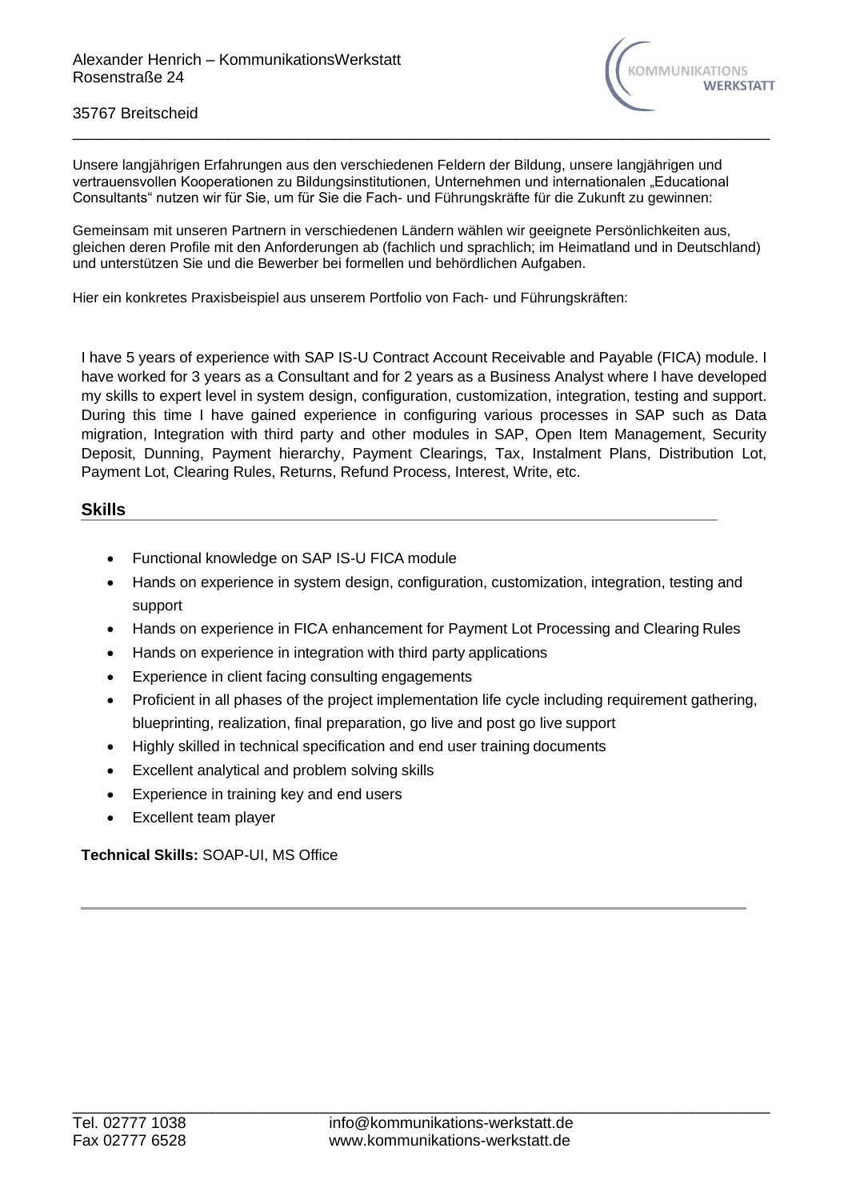

#### 35767 Breitscheid

Unsere langjährigen Erfahrungen aus den verschiedenen Feldern der Bildung, unsere langjährigen und vertrauensvollen Kooperationen zu Bildungsinstitutionen, Unternehmen und internationalen "Educational Consultants" nutzen wir für Sie, um für Sie die Fach- und Führungskräfte für die Zukunft zu gewinnen:

Gemeinsam mit unseren Partnern in verschiedenen Ländern wählen wir geeignete Persönlichkeiten aus, gleichen deren Profile mit den Anforderungen ab (fachlich und sprachlich; im Heimatland und in Deutschland) und unterstützen Sie und die Bewerber bei formellen und behördlichen Aufgaben.

\_\_\_\_\_\_\_\_\_\_\_\_\_\_\_\_\_\_\_\_\_\_\_\_\_\_\_\_\_\_\_\_\_\_\_\_\_\_\_\_\_\_\_\_\_\_\_\_\_\_\_\_\_\_\_\_\_\_\_\_\_\_\_\_\_\_\_\_\_\_\_\_\_\_\_\_\_\_\_\_

Hier ein konkretes Praxisbeispiel aus unserem Portfolio von Fach- und Führungskräften:

I have 5 years of experience with SAP IS-U Contract Account Receivable and Payable (FICA) module. I have worked for 3 years as a Consultant and for 2 years as a Business Analyst where I have developed my skills to expert level in system design, configuration, customization, integration, testing and support. During this time I have gained experience in configuring various processes in SAP such as Data migration, Integration with third party and other modules in SAP, Open Item Management, Security Deposit, Dunning, Payment hierarchy, Payment Clearings, Tax, Instalment Plans, Distribution Lot, Payment Lot, Clearing Rules, Returns, Refund Process, Interest, Write, etc.

## **Skills**

- Functional knowledge on SAP IS-U FICA module
- Hands on experience in system design, configuration, customization, integration, testing and support
- Hands on experience in FICA enhancement for Payment Lot Processing and Clearing Rules
- Hands on experience in integration with third party applications
- Experience in client facing consulting engagements
- Proficient in all phases of the project implementation life cycle including requirement gathering, blueprinting, realization, final preparation, go live and post go live support
- Highly skilled in technical specification and end user training documents
- Excellent analytical and problem solving skills
- Experience in training key and end users
- Excellent team player

## **Technical Skills:** SOAP-UI, MS Office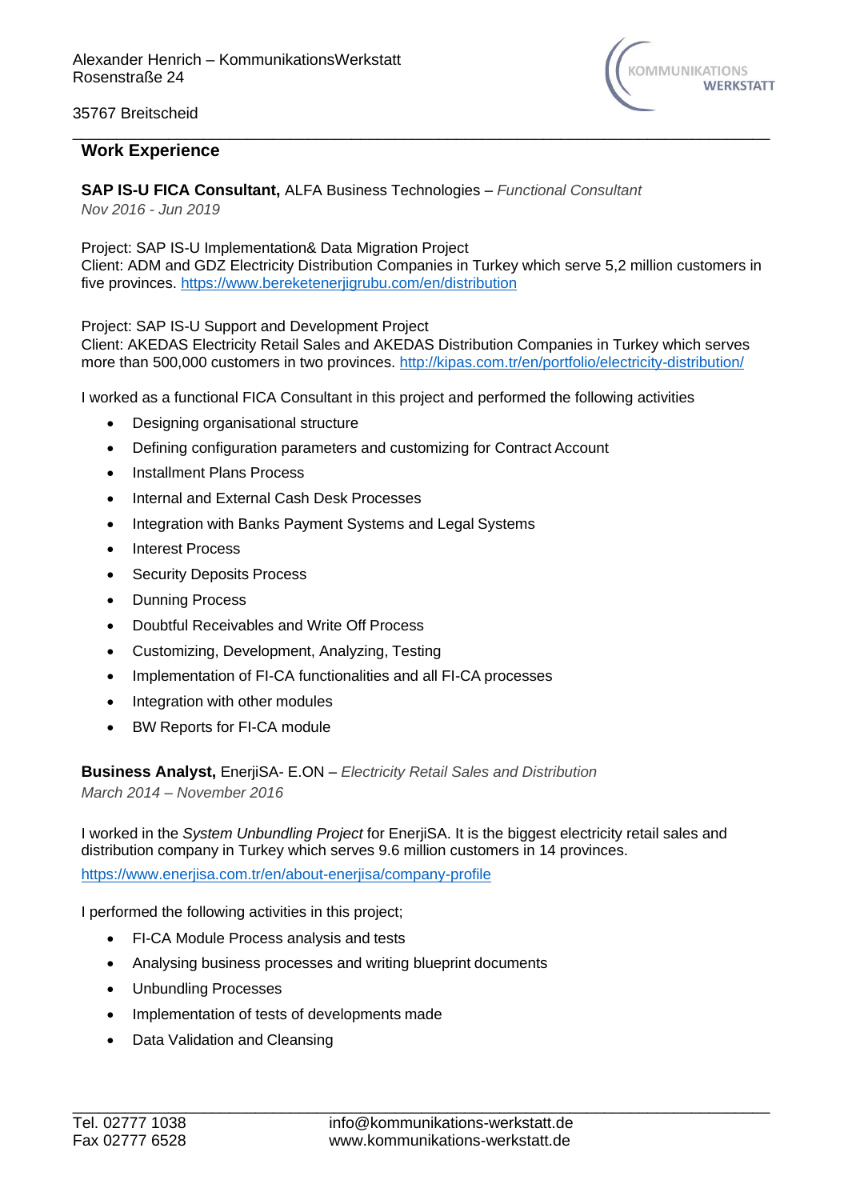

### 35767 Breitscheid

# **Work Experience**

**SAP IS-U FICA Consultant,** ALFA Business Technologies – *Functional Consultant Nov 2016 - Jun 2019*

Project: SAP IS-U Implementation& Data Migration Project Client: ADM and GDZ Electricity Distribution Companies in Turkey which serve 5,2 million customers in five provinces.<https://www.bereketenerjigrubu.com/en/distribution>

\_\_\_\_\_\_\_\_\_\_\_\_\_\_\_\_\_\_\_\_\_\_\_\_\_\_\_\_\_\_\_\_\_\_\_\_\_\_\_\_\_\_\_\_\_\_\_\_\_\_\_\_\_\_\_\_\_\_\_\_\_\_\_\_\_\_\_\_\_\_\_\_\_\_\_\_\_\_\_\_

Project: SAP IS-U Support and Development Project

Client: AKEDAS Electricity Retail Sales and AKEDAS Distribution Companies in Turkey which serves more than 500,000 customers in two provinces.<http://kipas.com.tr/en/portfolio/electricity-distribution/>

I worked as a functional FICA Consultant in this project and performed the following activities

- Designing organisational structure
- Defining configuration parameters and customizing for Contract Account
- Installment Plans Process
- Internal and External Cash Desk Processes
- Integration with Banks Payment Systems and Legal Systems
- Interest Process
- Security Deposits Process
- Dunning Process
- Doubtful Receivables and Write Off Process
- Customizing, Development, Analyzing, Testing
- Implementation of FI-CA functionalities and all FI-CA processes
- Integration with other modules
- BW Reports for FI-CA module

**Business Analyst,** EnerjiSA- E.ON – *Electricity Retail Sales and Distribution March 2014 – November 2016*

I worked in the *System Unbundling Project* for EnerjiSA. It is the biggest electricity retail sales and distribution company in Turkey which serves 9.6 million customers in 14 provinces.

<https://www.enerjisa.com.tr/en/about-enerjisa/company-profile>

I performed the following activities in this project;

- FI-CA Module Process analysis and tests
- Analysing business processes and writing blueprint documents
- Unbundling Processes
- Implementation of tests of developments made
- Data Validation and Cleansing

\_\_\_\_\_\_\_\_\_\_\_\_\_\_\_\_\_\_\_\_\_\_\_\_\_\_\_\_\_\_\_\_\_\_\_\_\_\_\_\_\_\_\_\_\_\_\_\_\_\_\_\_\_\_\_\_\_\_\_\_\_\_\_\_\_\_\_\_\_\_\_\_\_\_\_\_\_\_\_\_